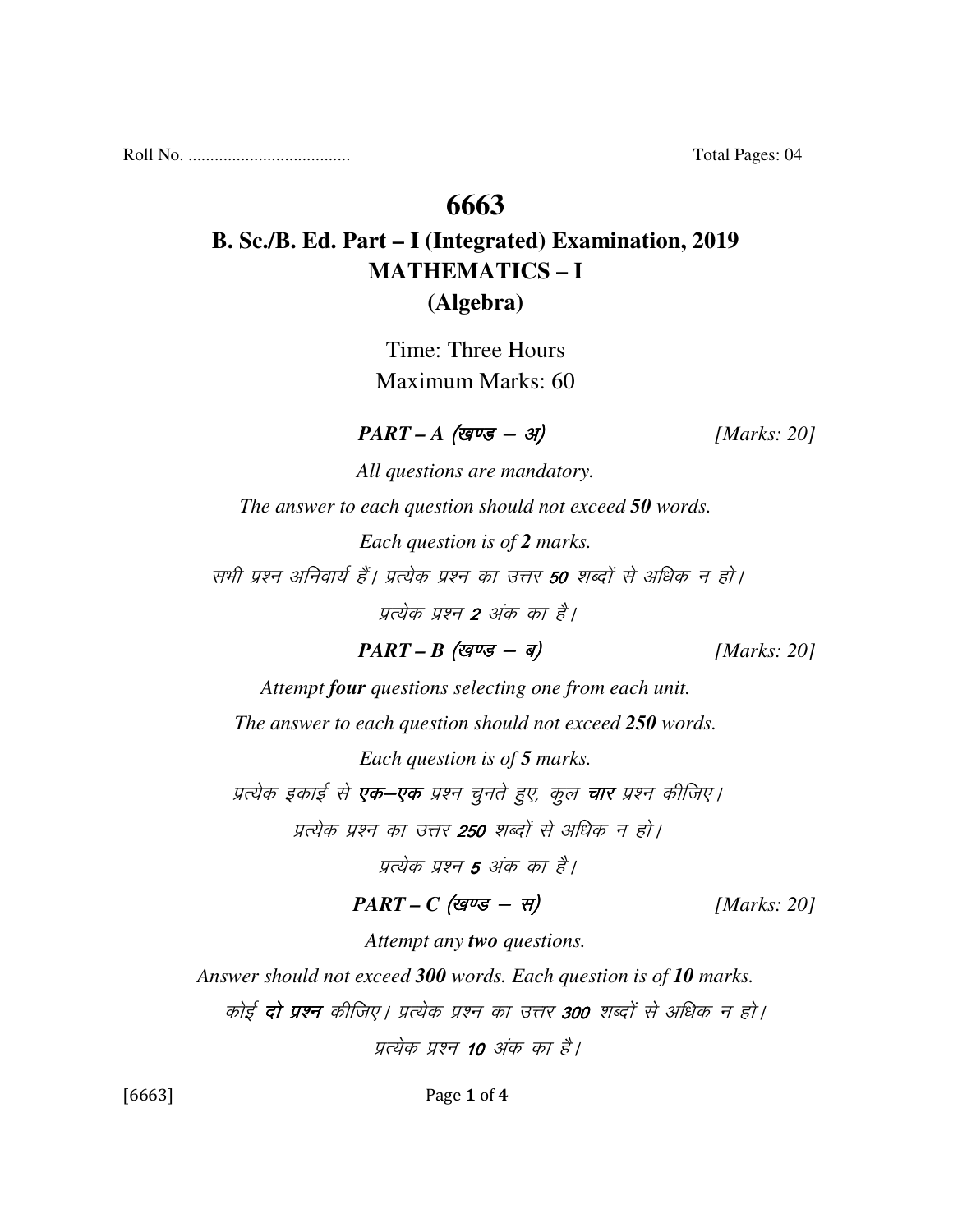Roll No. ..................................... Total Pages: 04

## **6663**

# **B. Sc./B. Ed. Part – I (Integrated) Examination, 2019 MATHEMATICS – I (Algebra)**

Time: Three Hours Maximum Marks: 60

 $PART - A \text{ (gug - 3)}$  [Marks: 20]

*All questions are mandatory. The answer to each question should not exceed 50 words. Each question is of 2 marks.*  सभी प्रश्न अनिवार्य हैं। प्रत्येक प्रश्न का उत्तर **50** शब्दों से अधिक न हो। प्रत्येक प्रश्न 2 अंक का है।

 $PART - B$  (खण्ड - ब) [Marks: 20]

*Attempt four questions selecting one from each unit.* 

*The answer to each question should not exceed 250 words.* 

*Each question is of 5 marks.* 

प्रत्येक इकाई से **एक–एक** प्रश्न चुनते हुए, कूल **चार** प्रश्न कीजिए।

प्रत्येक प्रश्न का उत्तर **250** शब्दों से अधिक न हो।

प्रत्येक प्रश्न 5 अंक का है।

### $PART - C$  (खण्ड - स) [Marks: 20]

*Attempt any two questions.* 

*Answer should not exceed 300 words. Each question is of 10 marks.* 

कोई **दो प्रश्न** कीजिए। प्रत्येक प्रश्न का उत्तर **300** शब्दों से अधिक न हो।

पत्येक पश्न 10 अंक का है।

[6663] Page 1 of 4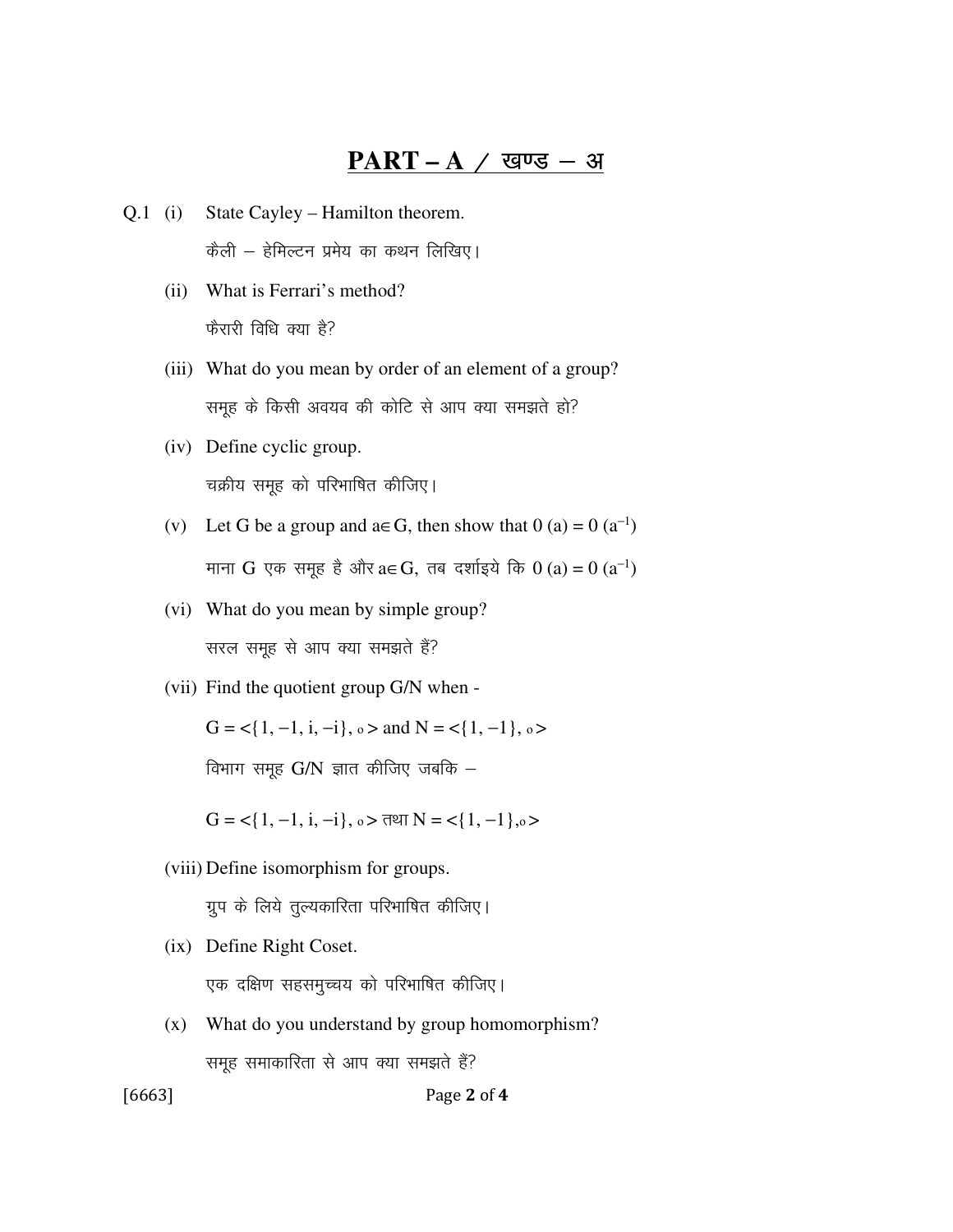#### $PART - A / Q$  खण्ड – अ

- Q.1 (i) State Cayley Hamilton theorem.  $\dot{\vec{\sigma}}$ ली – हेमिल्टन प्रमेय का कथन लिखिए।
	- (ii) What is Ferrari's method? फैरारी विधि क्या है?
	- (iii) What do you mean by order of an element of a group? समूह के किसी अवयव की कोटि से आप क्या समझते हो?
	- (iv) Define cyclic group. चक्रीय समूह को परिभाषित कीजिए।
- (v) Let G be a group and  $a \in G$ , then show that  $0$  (a) =  $0$  (a<sup>-1</sup>) माना  $G$  एक समूह है और a∈ $G$ , तब दर्शाइये कि  $0$  (a) =  $0$  (a $^{-1})$ 
	- (vi) What do you mean by simple group? सरल समूह से आप क्या समझते हैं?
	- (vii) Find the quotient group G/N when -

 $G = \{1, -1, i, -i\}$ ,  $o >$  and  $N = \{1, -1\}$ ,  $o >$ 

विभाग समुह  $G/N$  ज्ञात कीजिए जबकि  $-$ 

 $G = \{1, -1, i, -i\}$ ,  $o > \pi$ था N =  $\{1, -1\}$ , $o >$ 

(viii) Define isomorphism for groups.

ग्रुप के लिये तुल्यकारिता परिभाषित कीजिए।

(ix) Define Right Coset.

एक दक्षिण सहसमुच्चय को परिभाषित कीजिए।

 (x) What do you understand by group homomorphism? समुह समाकारिता से आप क्या समझते हैं?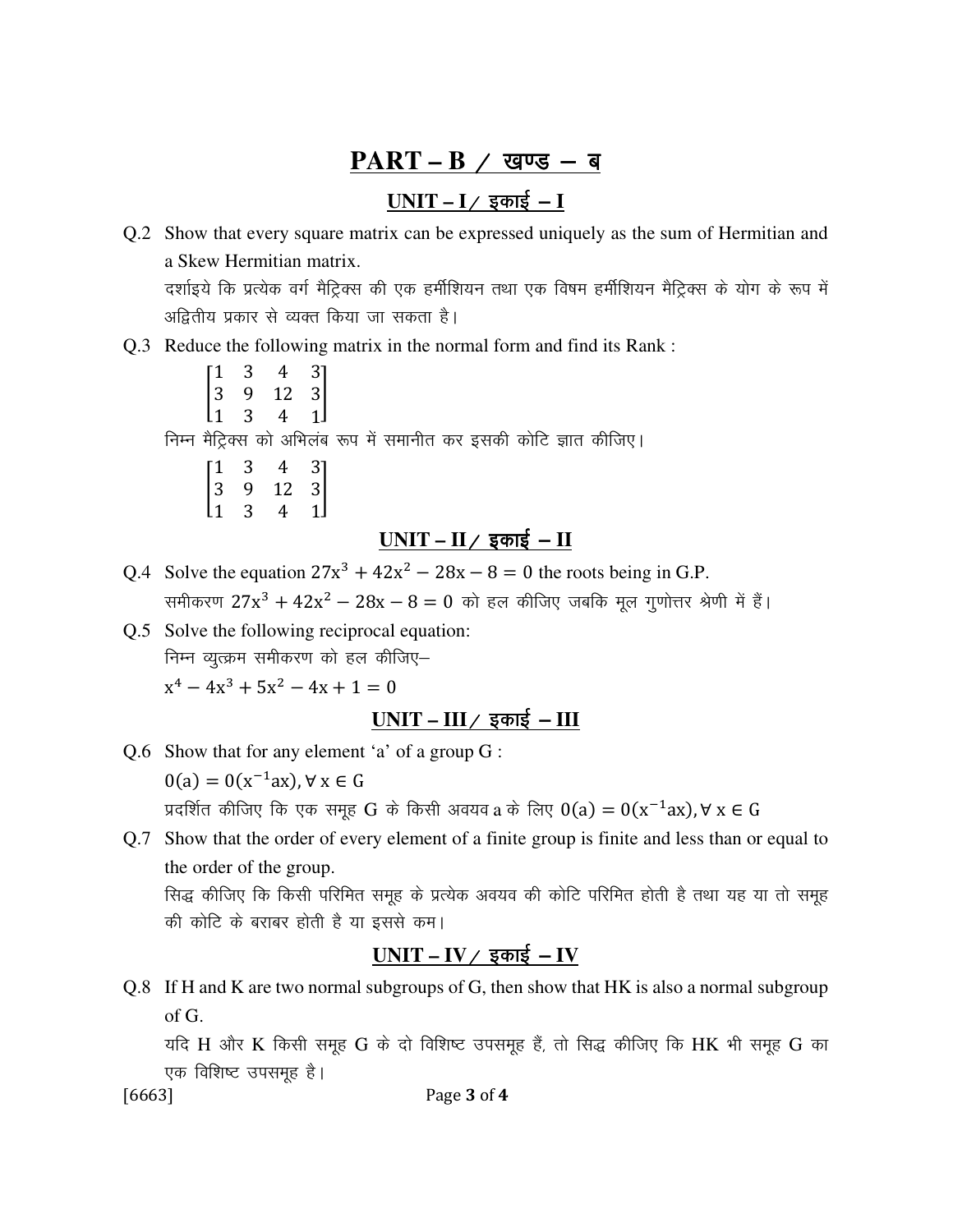## PART – B / खण्ड – ब

### **UNIT – I**@ bdkb Z **– I**

- Q.2 Show that every square matrix can be expressed uniquely as the sum of Hermitian and a Skew Hermitian matrix. दर्शाइये कि प्रत्येक वर्ग मैट्रिक्स की एक हर्मीशियन तथा एक विषम हर्मीशियन मैट्रिक्स के योग के रूप में अद्वितीय प्रकार से व्यक्त किया जा सकता है।
- Q.3 Reduce the following matrix in the normal form and find its Rank :
- and the state 1 3 4 3 9 12 1 3 4 1 3 3 | निम्न मैट्रिक्स को अभिलंब रूप में समानीत कर इसकी कोटि ज्ञात कीजिए।
- 1 3 4 3 9 12 1 3 4 3 3 1  $\overline{\phantom{a}}$

# <u>UNIT – II / इकाई – II</u>

- Q.4 Solve the equation  $27x^3 + 42x^2 28x 8 = 0$  the roots being in G.P. समीकरण  $27x^3 + 42x^2 - 28x - 8 = 0$  को हल कीजिए जबकि मूल गुणोत्तर श्रेणी में हैं।
- Q.5 Solve the following reciprocal equation: निम्न व्यूत्क्रम समीकरण को हल कीजिए $x^4 - 4x^3 + 5x^2 - 4x + 1 = 0$

### $UNIT - III / \xi \overline{\sigma}$  =  $III$

Q.6 Show that for any element 'a' of a group G :

 $0(a) = 0(x^{-1}ax)$ , ∀ x ∈ G

प्रदर्शित कीजिए कि एक समूह  $G$  के किसी अवयव $\,$ a के लिए  $0(a) = 0({\rm x}^{-1} {\rm a} {\rm x})$ , $\forall \, {\rm x} \in G$ 

Q.7 Show that the order of every element of a finite group is finite and less than or equal to the order of the group. सिद्ध कीजिए कि किसी परिमित समूह के प्रत्येक अवयव की कोटि परिमित होती है तथा यह या तो समूह की कोटि के बराबर होती है या इससे कम।

### $UNIT - IV /$  इकाई - IV

Q.8 If H and K are two normal subgroups of G, then show that HK is also a normal subgroup of G.

यदि H और K किसी समूह G के दो विशिष्ट उपसमूह हैं, तो सिद्ध कीजिए कि HK भी समूह G का एक विशिष्ट उपसमूह है।